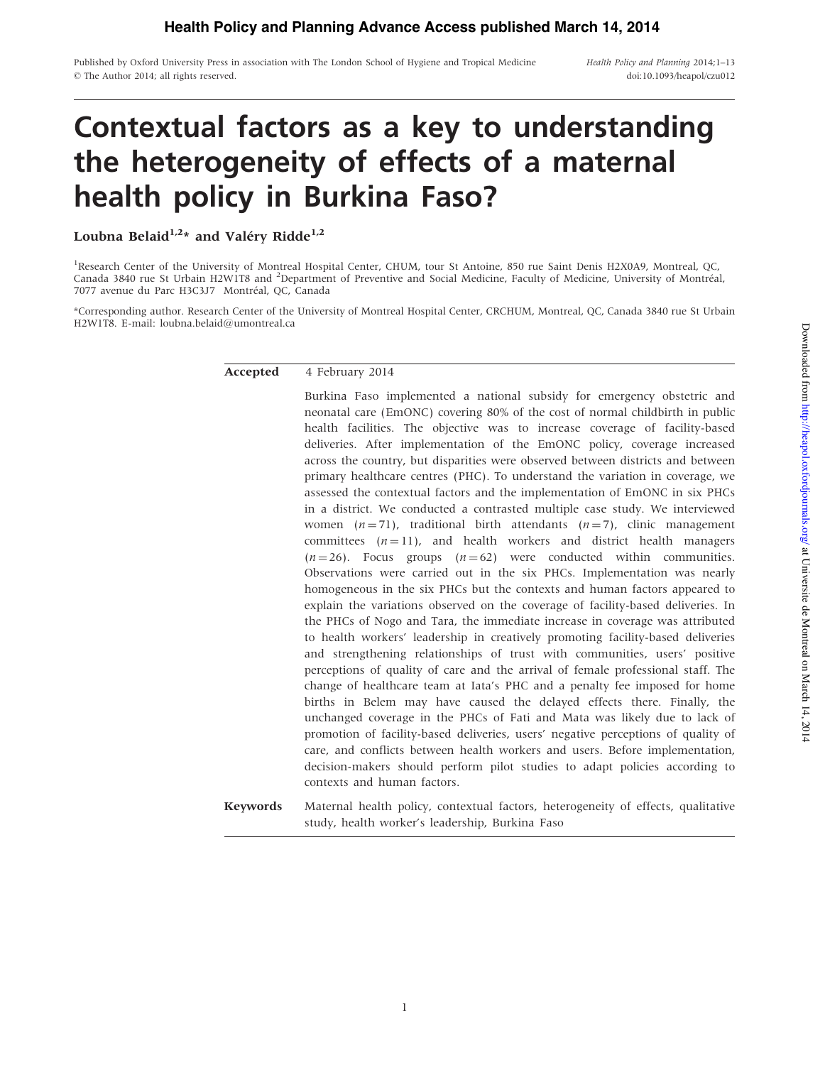Published by Oxford University Press in association with The London School of Hygiene and Tropical Medicine © The Author 2014; all rights reserved.

Health Policy and Planning 2014;1–13 doi:10.1093/heapol/czu012

# Contextual factors as a key to understanding the heterogeneity of effects of a maternal health policy in Burkina Faso?

Loubna Belaid<sup>1,2\*</sup> and Valéry Ridde<sup>1,2</sup>

<sup>1</sup>Research Center of the University of Montreal Hospital Center, CHUM, tour St Antoine, 850 rue Saint Denis H2X0A9, Montreal, QC, Canada 3840 rue St Urbain H2W1T8 and <sup>2</sup>Department of Preventive and Social Medicine, Faculty of Medicine, University of Montréal, 7077 avenue du Parc H3C3J7 Montréal, QC, Canada

\*Corresponding author. Research Center of the University of Montreal Hospital Center, CRCHUM, Montreal, QC, Canada 3840 rue St Urbain H2W1T8. E-mail: loubna.belaid@umontreal.ca

## Accepted 4 February 2014

Burkina Faso implemented a national subsidy for emergency obstetric and neonatal care (EmONC) covering 80% of the cost of normal childbirth in public health facilities. The objective was to increase coverage of facility-based deliveries. After implementation of the EmONC policy, coverage increased across the country, but disparities were observed between districts and between primary healthcare centres (PHC). To understand the variation in coverage, we assessed the contextual factors and the implementation of EmONC in six PHCs in a district. We conducted a contrasted multiple case study. We interviewed women  $(n = 71)$ , traditional birth attendants  $(n = 7)$ , clinic management committees  $(n = 11)$ , and health workers and district health managers  $(n = 26)$ . Focus groups  $(n = 62)$  were conducted within communities. Observations were carried out in the six PHCs. Implementation was nearly homogeneous in the six PHCs but the contexts and human factors appeared to explain the variations observed on the coverage of facility-based deliveries. In the PHCs of Nogo and Tara, the immediate increase in coverage was attributed to health workers' leadership in creatively promoting facility-based deliveries and strengthening relationships of trust with communities, users' positive perceptions of quality of care and the arrival of female professional staff. The change of healthcare team at Iata's PHC and a penalty fee imposed for home births in Belem may have caused the delayed effects there. Finally, the unchanged coverage in the PHCs of Fati and Mata was likely due to lack of promotion of facility-based deliveries, users' negative perceptions of quality of care, and conflicts between health workers and users. Before implementation, decision-makers should perform pilot studies to adapt policies according to contexts and human factors.

Keywords Maternal health policy, contextual factors, heterogeneity of effects, qualitative study, health worker's leadership, Burkina Faso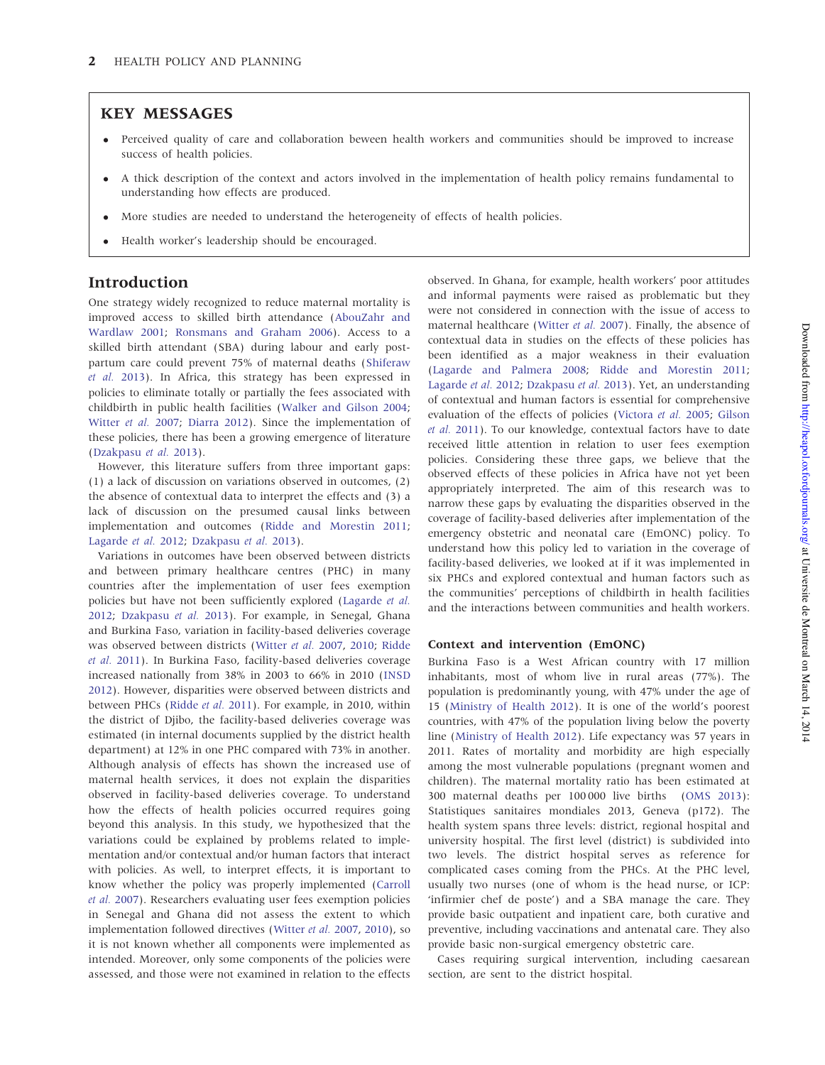# KEY MESSAGES

- " Perceived quality of care and collaboration beween health workers and communities should be improved to increase success of health policies.
- " A thick description of the context and actors involved in the implementation of health policy remains fundamental to understanding how effects are produced.
- " More studies are needed to understand the heterogeneity of effects of health policies.
- Health worker's leadership should be encouraged.

# Introduction

One strategy widely recognized to reduce maternal mortality is improved access to skilled birth attendance ([AbouZahr and](#page-11-0) [Wardlaw 2001](#page-11-0); [Ronsmans and Graham 2006](#page-12-0)). Access to a skilled birth attendant (SBA) during labour and early postpartum care could prevent 75% of maternal deaths ([Shiferaw](#page-12-0) [et al.](#page-12-0) 2013). In Africa, this strategy has been expressed in policies to eliminate totally or partially the fees associated with childbirth in public health facilities [\(Walker and Gilson 2004](#page-12-0); [Witter](#page-12-0) et al. 2007; [Diarra 2012](#page-11-0)). Since the implementation of these policies, there has been a growing emergence of literature [\(Dzakpasu](#page-11-0) et al. 2013).

However, this literature suffers from three important gaps: (1) a lack of discussion on variations observed in outcomes, (2) the absence of contextual data to interpret the effects and (3) a lack of discussion on the presumed causal links between implementation and outcomes ([Ridde and Morestin 2011](#page-12-0); [Lagarde](#page-11-0) et al. 2012; [Dzakpasu](#page-11-0) et al. 2013).

Variations in outcomes have been observed between districts and between primary healthcare centres (PHC) in many countries after the implementation of user fees exemption policies but have not been sufficiently explored ([Lagarde](#page-11-0) et al. [2012](#page-11-0); [Dzakpasu](#page-11-0) et al. 2013). For example, in Senegal, Ghana and Burkina Faso, variation in facility-based deliveries coverage was observed between districts ([Witter](#page-12-0) et al. 2007, [2010;](#page-12-0) [Ridde](#page-12-0) [et al.](#page-12-0) 2011). In Burkina Faso, facility-based deliveries coverage increased nationally from 38% in 2003 to 66% in 2010 ([INSD](#page-11-0) [2012](#page-11-0)). However, disparities were observed between districts and between PHCs ([Ridde](#page-12-0) et al. 2011). For example, in 2010, within the district of Djibo, the facility-based deliveries coverage was estimated (in internal documents supplied by the district health department) at 12% in one PHC compared with 73% in another. Although analysis of effects has shown the increased use of maternal health services, it does not explain the disparities observed in facility-based deliveries coverage. To understand how the effects of health policies occurred requires going beyond this analysis. In this study, we hypothesized that the variations could be explained by problems related to implementation and/or contextual and/or human factors that interact with policies. As well, to interpret effects, it is important to know whether the policy was properly implemented ([Carroll](#page-11-0) et al. [2007](#page-11-0)). Researchers evaluating user fees exemption policies in Senegal and Ghana did not assess the extent to which implementation followed directives [\(Witter](#page-12-0) et al. 2007, [2010\)](#page-12-0), so it is not known whether all components were implemented as intended. Moreover, only some components of the policies were assessed, and those were not examined in relation to the effects

observed. In Ghana, for example, health workers' poor attitudes and informal payments were raised as problematic but they were not considered in connection with the issue of access to maternal healthcare [\(Witter](#page-12-0) et al. 2007). Finally, the absence of contextual data in studies on the effects of these policies has been identified as a major weakness in their evaluation [\(Lagarde and Palmera 2008](#page-11-0); [Ridde and Morestin 2011](#page-12-0); [Lagarde](#page-11-0) et al. 2012; [Dzakpasu](#page-11-0) et al. 2013). Yet, an understanding of contextual and human factors is essential for comprehensive evaluation of the effects of policies ([Victora](#page-12-0) et al. 2005; [Gilson](#page-11-0) et al. [2011](#page-11-0)). To our knowledge, contextual factors have to date received little attention in relation to user fees exemption policies. Considering these three gaps, we believe that the observed effects of these policies in Africa have not yet been appropriately interpreted. The aim of this research was to narrow these gaps by evaluating the disparities observed in the coverage of facility-based deliveries after implementation of the emergency obstetric and neonatal care (EmONC) policy. To understand how this policy led to variation in the coverage of facility-based deliveries, we looked at if it was implemented in six PHCs and explored contextual and human factors such as the communities' perceptions of childbirth in health facilities and the interactions between communities and health workers.

### Context and intervention (EmONC)

Burkina Faso is a West African country with 17 million inhabitants, most of whom live in rural areas (77%). The population is predominantly young, with 47% under the age of 15 ([Ministry of Health 2012](#page-11-0)). It is one of the world's poorest countries, with 47% of the population living below the poverty line [\(Ministry of Health 2012\)](#page-11-0). Life expectancy was 57 years in 2011. Rates of mortality and morbidity are high especially among the most vulnerable populations (pregnant women and children). The maternal mortality ratio has been estimated at 300 maternal deaths per 100 000 live births [\(OMS 2013\)](#page-12-0): Statistiques sanitaires mondiales 2013, Geneva (p172). The health system spans three levels: district, regional hospital and university hospital. The first level (district) is subdivided into two levels. The district hospital serves as reference for complicated cases coming from the PHCs. At the PHC level, usually two nurses (one of whom is the head nurse, or ICP: 'infirmier chef de poste') and a SBA manage the care. They provide basic outpatient and inpatient care, both curative and preventive, including vaccinations and antenatal care. They also provide basic non-surgical emergency obstetric care.

Cases requiring surgical intervention, including caesarean section, are sent to the district hospital.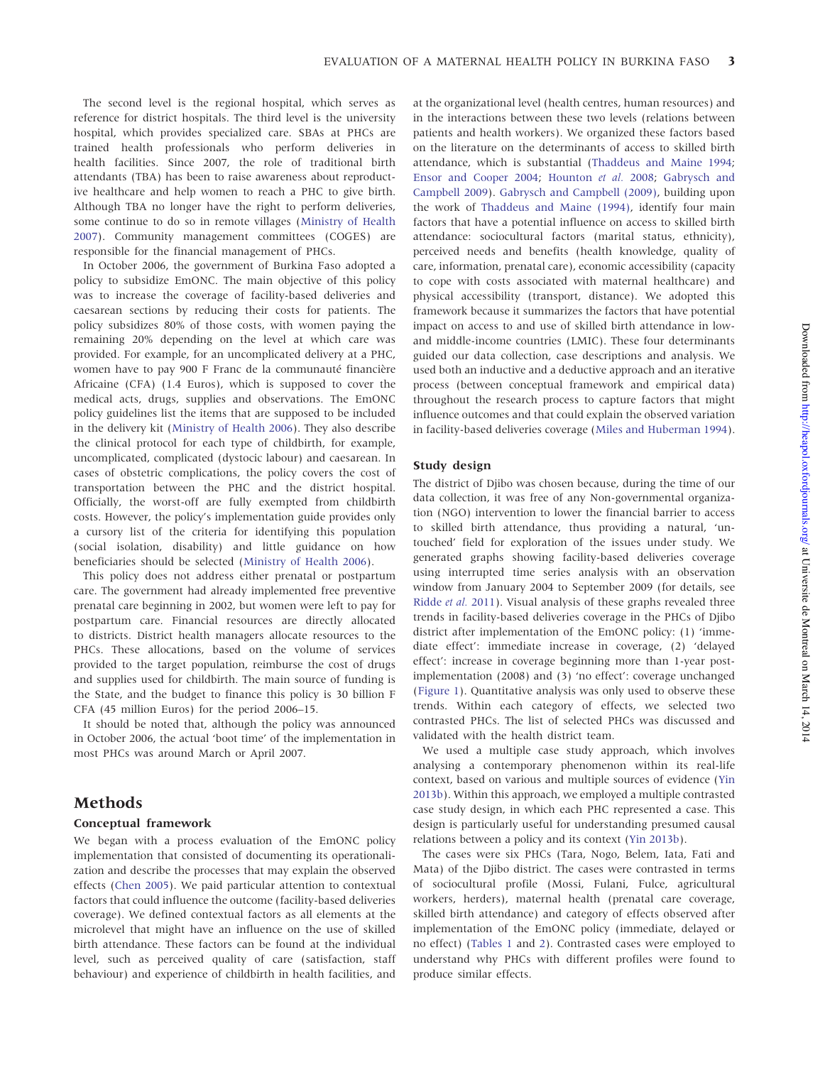The second level is the regional hospital, which serves as reference for district hospitals. The third level is the university hospital, which provides specialized care. SBAs at PHCs are trained health professionals who perform deliveries in health facilities. Since 2007, the role of traditional birth attendants (TBA) has been to raise awareness about reproductive healthcare and help women to reach a PHC to give birth. Although TBA no longer have the right to perform deliveries, some continue to do so in remote villages [\(Ministry of Health](#page-11-0) [2007](#page-11-0)). Community management committees (COGES) are responsible for the financial management of PHCs.

In October 2006, the government of Burkina Faso adopted a policy to subsidize EmONC. The main objective of this policy was to increase the coverage of facility-based deliveries and caesarean sections by reducing their costs for patients. The policy subsidizes 80% of those costs, with women paying the remaining 20% depending on the level at which care was provided. For example, for an uncomplicated delivery at a PHC, women have to pay 900 F Franc de la communauté financière Africaine (CFA) (1.4 Euros), which is supposed to cover the medical acts, drugs, supplies and observations. The EmONC policy guidelines list the items that are supposed to be included in the delivery kit ([Ministry of Health 2006](#page-11-0)). They also describe the clinical protocol for each type of childbirth, for example, uncomplicated, complicated (dystocic labour) and caesarean. In cases of obstetric complications, the policy covers the cost of transportation between the PHC and the district hospital. Officially, the worst-off are fully exempted from childbirth costs. However, the policy's implementation guide provides only a cursory list of the criteria for identifying this population (social isolation, disability) and little guidance on how beneficiaries should be selected ([Ministry of Health 2006](#page-11-0)).

This policy does not address either prenatal or postpartum care. The government had already implemented free preventive prenatal care beginning in 2002, but women were left to pay for postpartum care. Financial resources are directly allocated to districts. District health managers allocate resources to the PHCs. These allocations, based on the volume of services provided to the target population, reimburse the cost of drugs and supplies used for childbirth. The main source of funding is the State, and the budget to finance this policy is 30 billion F CFA (45 million Euros) for the period 2006–15.

It should be noted that, although the policy was announced in October 2006, the actual 'boot time' of the implementation in most PHCs was around March or April 2007.

# **Methods**

## Conceptual framework

We began with a process evaluation of the EmONC policy implementation that consisted of documenting its operationalization and describe the processes that may explain the observed effects [\(Chen 2005](#page-11-0)). We paid particular attention to contextual factors that could influence the outcome (facility-based deliveries coverage). We defined contextual factors as all elements at the microlevel that might have an influence on the use of skilled birth attendance. These factors can be found at the individual level, such as perceived quality of care (satisfaction, staff behaviour) and experience of childbirth in health facilities, and at the organizational level (health centres, human resources) and in the interactions between these two levels (relations between patients and health workers). We organized these factors based on the literature on the determinants of access to skilled birth attendance, which is substantial ([Thaddeus and Maine 1994](#page-12-0); [Ensor and Cooper 2004;](#page-11-0) [Hounton](#page-11-0) et al. 2008; [Gabrysch and](#page-11-0) [Campbell 2009](#page-11-0)). [Gabrysch and Campbell \(2009\)](#page-11-0), building upon the work of [Thaddeus and Maine \(1994\)](#page-12-0), identify four main factors that have a potential influence on access to skilled birth attendance: sociocultural factors (marital status, ethnicity), perceived needs and benefits (health knowledge, quality of care, information, prenatal care), economic accessibility (capacity to cope with costs associated with maternal healthcare) and physical accessibility (transport, distance). We adopted this framework because it summarizes the factors that have potential impact on access to and use of skilled birth attendance in lowand middle-income countries (LMIC). These four determinants guided our data collection, case descriptions and analysis. We used both an inductive and a deductive approach and an iterative process (between conceptual framework and empirical data) throughout the research process to capture factors that might influence outcomes and that could explain the observed variation in facility-based deliveries coverage [\(Miles and Huberman 1994](#page-11-0)).

#### Study design

The district of Djibo was chosen because, during the time of our data collection, it was free of any Non-governmental organization (NGO) intervention to lower the financial barrier to access to skilled birth attendance, thus providing a natural, 'untouched' field for exploration of the issues under study. We generated graphs showing facility-based deliveries coverage using interrupted time series analysis with an observation window from January 2004 to September 2009 (for details, see [Ridde](#page-12-0) et al. 2011). Visual analysis of these graphs revealed three trends in facility-based deliveries coverage in the PHCs of Djibo district after implementation of the EmONC policy: (1) 'immediate effect': immediate increase in coverage, (2) 'delayed effect': increase in coverage beginning more than 1-year postimplementation (2008) and (3) 'no effect': coverage unchanged [\(Figure 1](#page-3-0)). Quantitative analysis was only used to observe these trends. Within each category of effects, we selected two contrasted PHCs. The list of selected PHCs was discussed and validated with the health district team.

We used a multiple case study approach, which involves analysing a contemporary phenomenon within its real-life context, based on various and multiple sources of evidence ([Yin](#page-12-0) [2013b](#page-12-0)). Within this approach, we employed a multiple contrasted case study design, in which each PHC represented a case. This design is particularly useful for understanding presumed causal relations between a policy and its context [\(Yin 2013b\)](#page-12-0).

The cases were six PHCs (Tara, Nogo, Belem, Iata, Fati and Mata) of the Djibo district. The cases were contrasted in terms of sociocultural profile (Mossi, Fulani, Fulce, agricultural workers, herders), maternal health (prenatal care coverage, skilled birth attendance) and category of effects observed after implementation of the EmONC policy (immediate, delayed or no effect) ([Tables 1](#page-4-0) and [2](#page-4-0)). Contrasted cases were employed to understand why PHCs with different profiles were found to produce similar effects.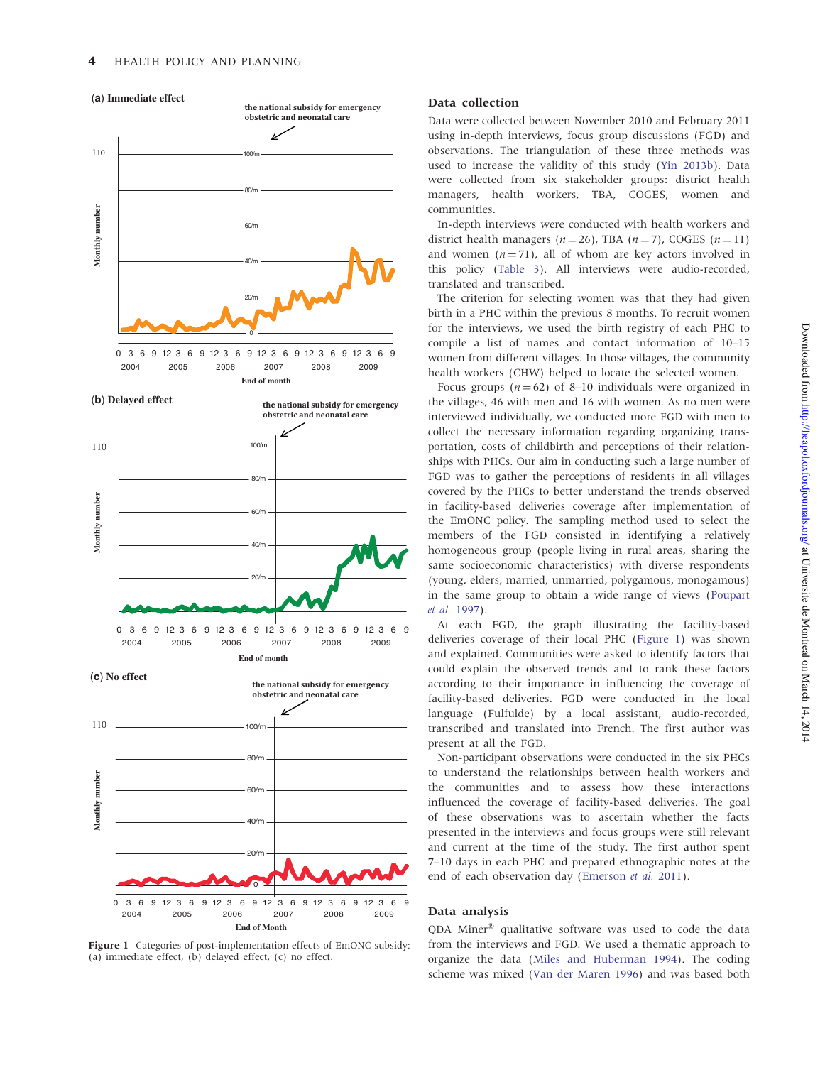**the national subsidy for emergency**

<span id="page-3-0"></span>



Figure 1 Categories of post-implementation effects of EmONC subsidy: (a) immediate effect, (b) delayed effect, (c) no effect.

## Data collection

Data were collected between November 2010 and February 2011 using in-depth interviews, focus group discussions (FGD) and observations. The triangulation of these three methods was used to increase the validity of this study ([Yin 2013b\)](#page-12-0). Data were collected from six stakeholder groups: district health managers, health workers, TBA, COGES, women and communities.

In-depth interviews were conducted with health workers and district health managers ( $n = 26$ ), TBA ( $n = 7$ ), COGES ( $n = 11$ ) and women  $(n = 71)$ , all of whom are key actors involved in this policy ([Table 3\)](#page-4-0). All interviews were audio-recorded, translated and transcribed.

The criterion for selecting women was that they had given birth in a PHC within the previous 8 months. To recruit women for the interviews, we used the birth registry of each PHC to compile a list of names and contact information of 10–15 women from different villages. In those villages, the community health workers (CHW) helped to locate the selected women.

Focus groups ( $n = 62$ ) of 8–10 individuals were organized in the villages, 46 with men and 16 with women. As no men were interviewed individually, we conducted more FGD with men to collect the necessary information regarding organizing transportation, costs of childbirth and perceptions of their relationships with PHCs. Our aim in conducting such a large number of FGD was to gather the perceptions of residents in all villages covered by the PHCs to better understand the trends observed in facility-based deliveries coverage after implementation of the EmONC policy. The sampling method used to select the members of the FGD consisted in identifying a relatively homogeneous group (people living in rural areas, sharing the same socioeconomic characteristics) with diverse respondents (young, elders, married, unmarried, polygamous, monogamous) in the same group to obtain a wide range of views ([Poupart](#page-12-0) et al. [1997](#page-12-0)).

At each FGD, the graph illustrating the facility-based deliveries coverage of their local PHC (Figure 1) was shown and explained. Communities were asked to identify factors that could explain the observed trends and to rank these factors according to their importance in influencing the coverage of facility-based deliveries. FGD were conducted in the local language (Fulfulde) by a local assistant, audio-recorded, transcribed and translated into French. The first author was present at all the FGD.

Non-participant observations were conducted in the six PHCs to understand the relationships between health workers and the communities and to assess how these interactions influenced the coverage of facility-based deliveries. The goal of these observations was to ascertain whether the facts presented in the interviews and focus groups were still relevant and current at the time of the study. The first author spent 7–10 days in each PHC and prepared ethnographic notes at the end of each observation day [\(Emerson](#page-11-0) et al. 2011).

#### Data analysis

QDA Miner" qualitative software was used to code the data from the interviews and FGD. We used a thematic approach to organize the data [\(Miles and Huberman 1994\)](#page-11-0). The coding scheme was mixed ([Van der Maren 1996](#page-12-0)) and was based both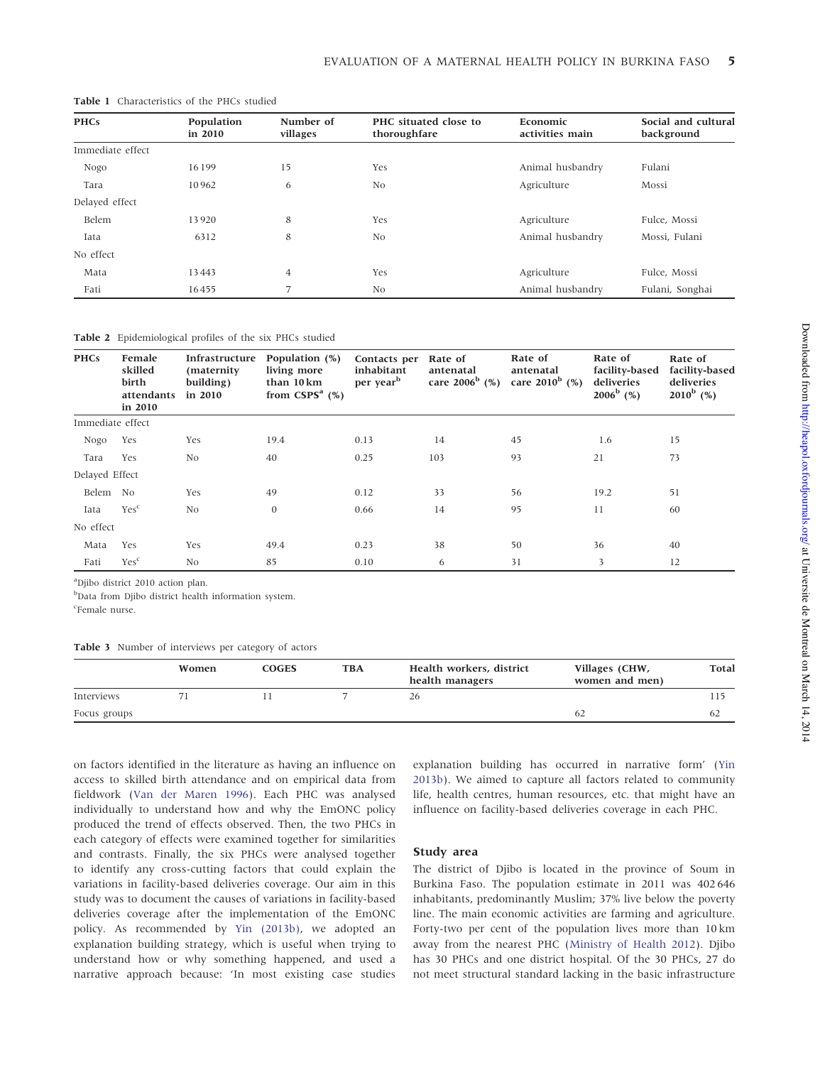| <b>PHCs</b>      | Population<br>in 2010 | Number of<br>villages | PHC situated close to<br>thoroughfare | Economic<br>activities main | Social and cultural<br>background |  |
|------------------|-----------------------|-----------------------|---------------------------------------|-----------------------------|-----------------------------------|--|
| Immediate effect |                       |                       |                                       |                             |                                   |  |
| Nogo             | 16199                 | 15                    | Animal husbandry<br>Yes               |                             | Fulani                            |  |
| Tara             | 10962                 | 6                     | N <sub>0</sub>                        | Agriculture                 | Mossi                             |  |
| Delayed effect   |                       |                       |                                       |                             |                                   |  |
| Belem            | 13920                 | 8                     | Yes                                   | Agriculture                 | Fulce, Mossi                      |  |
| Iata             | 6312                  | 8                     | N <sub>0</sub>                        | Animal husbandry            | Mossi, Fulani                     |  |
| No effect        |                       |                       |                                       |                             |                                   |  |
| Mata             | 13443                 | $\overline{4}$        | Yes                                   | Agriculture                 | Fulce, Mossi                      |  |
| Fati             | 16455                 | 7                     | N <sub>0</sub>                        | Animal husbandry            | Fulani, Songhai                   |  |

#### <span id="page-4-0"></span>Table 1 Characteristics of the PHCs studied

Table 2 Epidemiological profiles of the six PHCs studied

| <b>PHCs</b>      | Female<br>skilled<br>birth<br>attendants<br>in 2010 | Infrastructure<br>(maternity)<br>building)<br>in 2010 | Population (%)<br>living more<br>than 10km<br>from $CSPSa$ (%) | Contacts per<br>inhabitant<br>per year <sup>b</sup> | Rate of<br>antenatal<br>care $2006^b$ (%) | Rate of<br>antenatal<br>care $2010^b$ (%) | Rate of<br>facility-based<br>deliveries<br>$2006^{\rm b}$ (%) | Rate of<br>facility-based<br>deliveries<br>$2010^b$ (%) |
|------------------|-----------------------------------------------------|-------------------------------------------------------|----------------------------------------------------------------|-----------------------------------------------------|-------------------------------------------|-------------------------------------------|---------------------------------------------------------------|---------------------------------------------------------|
| Immediate effect |                                                     |                                                       |                                                                |                                                     |                                           |                                           |                                                               |                                                         |
| Nogo             | Yes                                                 | Yes                                                   | 19.4                                                           | 0.13                                                | 14                                        | 45                                        | 1.6                                                           | 15                                                      |
| Tara             | Yes                                                 | No                                                    | 40                                                             | 0.25                                                | 103                                       | 93                                        | 21                                                            | 73                                                      |
| Delayed Effect   |                                                     |                                                       |                                                                |                                                     |                                           |                                           |                                                               |                                                         |
| Belem            | No.                                                 | Yes                                                   | 49                                                             | 0.12                                                | 33                                        | 56                                        | 19.2                                                          | 51                                                      |
| Iata             | Yes <sup>c</sup>                                    | N <sub>0</sub>                                        | $\mathbf{0}$                                                   | 0.66                                                | 14                                        | 95                                        | 11                                                            | 60                                                      |
| No effect        |                                                     |                                                       |                                                                |                                                     |                                           |                                           |                                                               |                                                         |
| Mata             | Yes                                                 | Yes                                                   | 49.4                                                           | 0.23                                                | 38                                        | 50                                        | 36                                                            | 40                                                      |
| Fati             | Yes <sup>c</sup>                                    | N <sub>0</sub>                                        | 85                                                             | 0.10                                                | 6                                         | 31                                        | 3                                                             | 12                                                      |

a Djibo district 2010 action plan.

b Data from Djibo district health information system.

<sup>c</sup>Female nurse.

Table 3 Number of interviews per category of actors

|                   | Women | COGES | <b>TBA</b> | Health workers, district<br>health managers | Villages (CHW,<br>women and men) | Total |
|-------------------|-------|-------|------------|---------------------------------------------|----------------------------------|-------|
| <b>Interviews</b> |       |       |            | 26                                          |                                  |       |
| Focus groups      |       |       |            |                                             | 62                               | 62    |

on factors identified in the literature as having an influence on access to skilled birth attendance and on empirical data from fieldwork [\(Van der Maren 1996\)](#page-12-0). Each PHC was analysed individually to understand how and why the EmONC policy produced the trend of effects observed. Then, the two PHCs in each category of effects were examined together for similarities and contrasts. Finally, the six PHCs were analysed together to identify any cross-cutting factors that could explain the variations in facility-based deliveries coverage. Our aim in this study was to document the causes of variations in facility-based deliveries coverage after the implementation of the EmONC policy. As recommended by [Yin \(2013b\),](#page-12-0) we adopted an explanation building strategy, which is useful when trying to understand how or why something happened, and used a narrative approach because: 'In most existing case studies explanation building has occurred in narrative form' ([Yin](#page-12-0) [2013b](#page-12-0)). We aimed to capture all factors related to community life, health centres, human resources, etc. that might have an influence on facility-based deliveries coverage in each PHC.

#### Study area

The district of Djibo is located in the province of Soum in Burkina Faso. The population estimate in 2011 was 402 646 inhabitants, predominantly Muslim; 37% live below the poverty line. The main economic activities are farming and agriculture. Forty-two per cent of the population lives more than 10 km away from the nearest PHC [\(Ministry of Health 2012\)](#page-11-0). Djibo has 30 PHCs and one district hospital. Of the 30 PHCs, 27 do not meet structural standard lacking in the basic infrastructure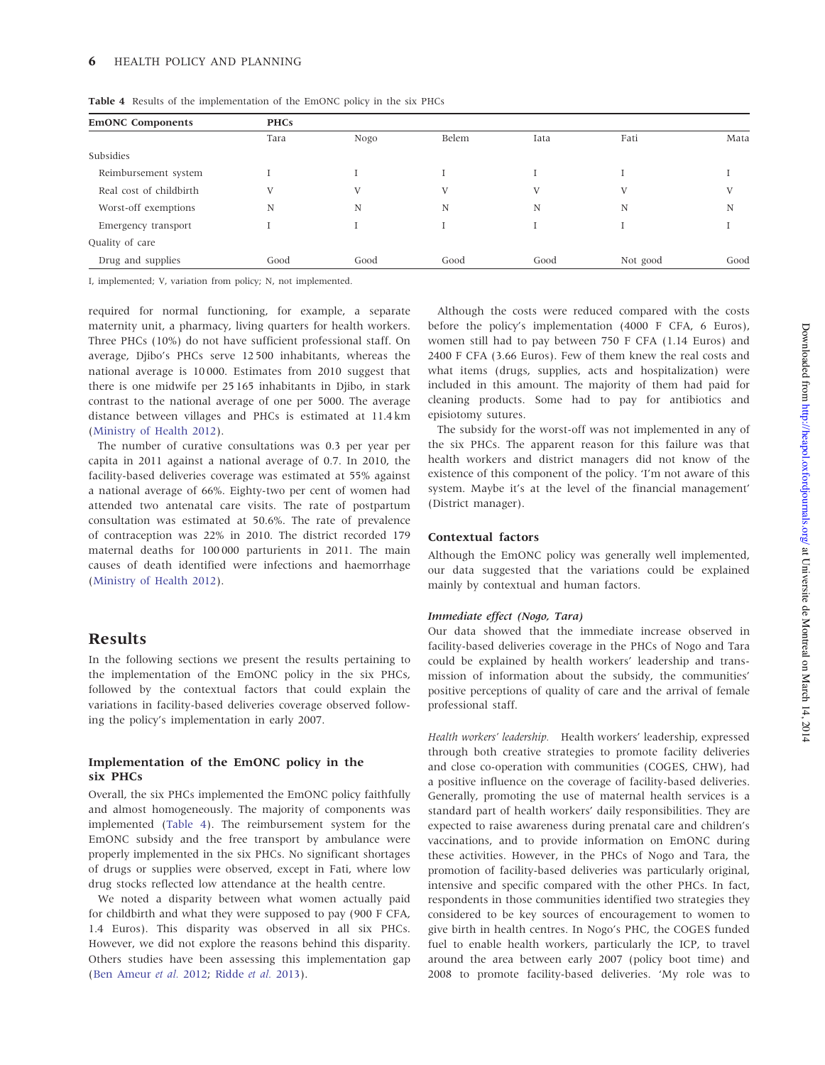| <b>EmONC Components</b> | <b>PHCs</b> |      |       |      |          |      |  |  |
|-------------------------|-------------|------|-------|------|----------|------|--|--|
|                         | Tara        | Nogo | Belem | Iata | Fati     | Mata |  |  |
| Subsidies               |             |      |       |      |          |      |  |  |
| Reimbursement system    |             |      |       |      |          |      |  |  |
| Real cost of childbirth | V           | V    | V     | V    | V        | V    |  |  |
| Worst-off exemptions    | N           | N    | N     | N    | N        | N    |  |  |
| Emergency transport     |             |      |       |      |          |      |  |  |
| Quality of care         |             |      |       |      |          |      |  |  |
| Drug and supplies       | Good        | Good | Good  | Good | Not good | Good |  |  |
|                         |             |      |       |      |          |      |  |  |

Table 4 Results of the implementation of the EmONC policy in the six PHCs

I, implemented; V, variation from policy; N, not implemented.

required for normal functioning, for example, a separate maternity unit, a pharmacy, living quarters for health workers. Three PHCs (10%) do not have sufficient professional staff. On average, Djibo's PHCs serve 12 500 inhabitants, whereas the national average is 10 000. Estimates from 2010 suggest that there is one midwife per 25 165 inhabitants in Djibo, in stark contrast to the national average of one per 5000. The average distance between villages and PHCs is estimated at 11.4 km [\(Ministry of Health 2012\)](#page-11-0).

The number of curative consultations was 0.3 per year per capita in 2011 against a national average of 0.7. In 2010, the facility-based deliveries coverage was estimated at 55% against a national average of 66%. Eighty-two per cent of women had attended two antenatal care visits. The rate of postpartum consultation was estimated at 50.6%. The rate of prevalence of contraception was 22% in 2010. The district recorded 179 maternal deaths for 100 000 parturients in 2011. The main causes of death identified were infections and haemorrhage [\(Ministry of Health 2012\)](#page-11-0).

## Results

In the following sections we present the results pertaining to the implementation of the EmONC policy in the six PHCs, followed by the contextual factors that could explain the variations in facility-based deliveries coverage observed following the policy's implementation in early 2007.

## Implementation of the EmONC policy in the six PHCs

Overall, the six PHCs implemented the EmONC policy faithfully and almost homogeneously. The majority of components was implemented (Table 4). The reimbursement system for the EmONC subsidy and the free transport by ambulance were properly implemented in the six PHCs. No significant shortages of drugs or supplies were observed, except in Fati, where low drug stocks reflected low attendance at the health centre.

We noted a disparity between what women actually paid for childbirth and what they were supposed to pay (900 F CFA, 1.4 Euros). This disparity was observed in all six PHCs. However, we did not explore the reasons behind this disparity. Others studies have been assessing this implementation gap [\(Ben Ameur](#page-11-0) et al. 2012; [Ridde](#page-12-0) et al. 2013).

Although the costs were reduced compared with the costs before the policy's implementation (4000 F CFA, 6 Euros), women still had to pay between 750 F CFA (1.14 Euros) and 2400 F CFA (3.66 Euros). Few of them knew the real costs and what items (drugs, supplies, acts and hospitalization) were included in this amount. The majority of them had paid for cleaning products. Some had to pay for antibiotics and episiotomy sutures.

The subsidy for the worst-off was not implemented in any of the six PHCs. The apparent reason for this failure was that health workers and district managers did not know of the existence of this component of the policy. 'I'm not aware of this system. Maybe it's at the level of the financial management' (District manager).

## Contextual factors

Although the EmONC policy was generally well implemented, our data suggested that the variations could be explained mainly by contextual and human factors.

#### Immediate effect (Nogo, Tara)

Our data showed that the immediate increase observed in facility-based deliveries coverage in the PHCs of Nogo and Tara could be explained by health workers' leadership and transmission of information about the subsidy, the communities' positive perceptions of quality of care and the arrival of female professional staff.

Health workers' leadership. Health workers' leadership, expressed through both creative strategies to promote facility deliveries and close co-operation with communities (COGES, CHW), had a positive influence on the coverage of facility-based deliveries. Generally, promoting the use of maternal health services is a standard part of health workers' daily responsibilities. They are expected to raise awareness during prenatal care and children's vaccinations, and to provide information on EmONC during these activities. However, in the PHCs of Nogo and Tara, the promotion of facility-based deliveries was particularly original, intensive and specific compared with the other PHCs. In fact, respondents in those communities identified two strategies they considered to be key sources of encouragement to women to give birth in health centres. In Nogo's PHC, the COGES funded fuel to enable health workers, particularly the ICP, to travel around the area between early 2007 (policy boot time) and 2008 to promote facility-based deliveries. 'My role was to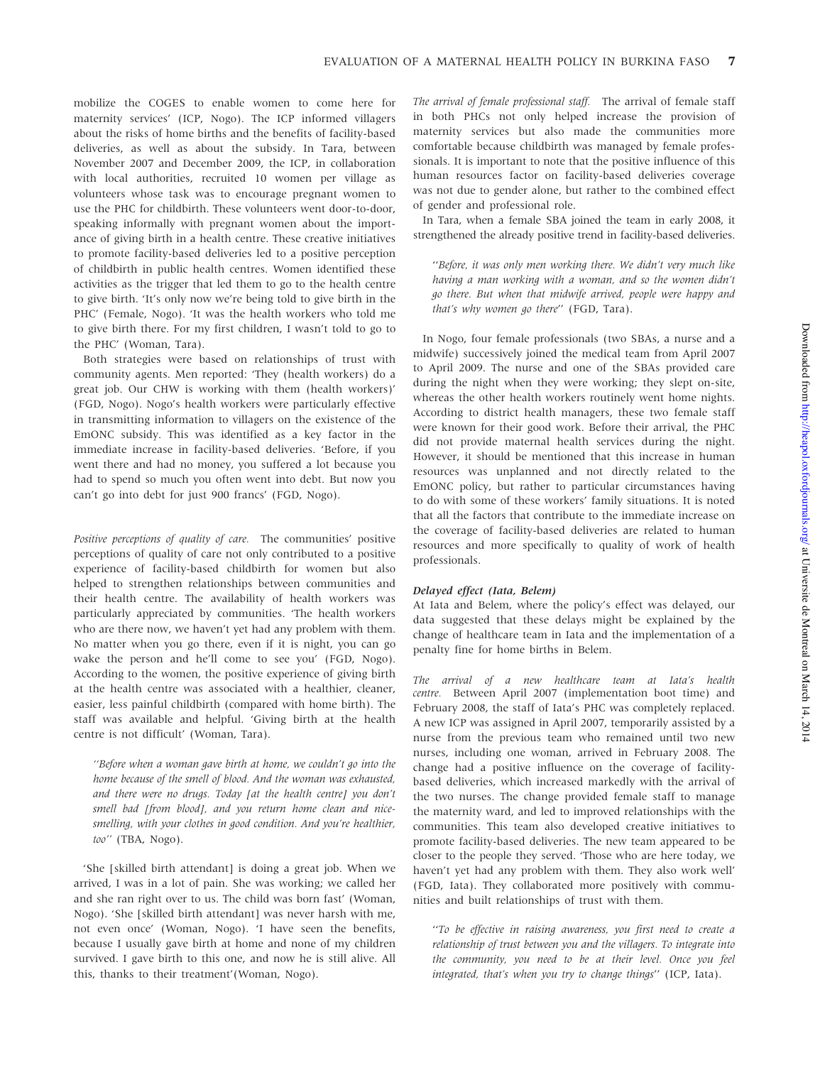mobilize the COGES to enable women to come here for maternity services' (ICP, Nogo). The ICP informed villagers about the risks of home births and the benefits of facility-based deliveries, as well as about the subsidy. In Tara, between November 2007 and December 2009, the ICP, in collaboration with local authorities, recruited 10 women per village as volunteers whose task was to encourage pregnant women to use the PHC for childbirth. These volunteers went door-to-door, speaking informally with pregnant women about the importance of giving birth in a health centre. These creative initiatives to promote facility-based deliveries led to a positive perception of childbirth in public health centres. Women identified these activities as the trigger that led them to go to the health centre to give birth. 'It's only now we're being told to give birth in the PHC' (Female, Nogo). 'It was the health workers who told me to give birth there. For my first children, I wasn't told to go to the PHC' (Woman, Tara).

Both strategies were based on relationships of trust with community agents. Men reported: 'They (health workers) do a great job. Our CHW is working with them (health workers)' (FGD, Nogo). Nogo's health workers were particularly effective in transmitting information to villagers on the existence of the EmONC subsidy. This was identified as a key factor in the immediate increase in facility-based deliveries. 'Before, if you went there and had no money, you suffered a lot because you had to spend so much you often went into debt. But now you can't go into debt for just 900 francs' (FGD, Nogo).

Positive perceptions of quality of care. The communities' positive perceptions of quality of care not only contributed to a positive experience of facility-based childbirth for women but also helped to strengthen relationships between communities and their health centre. The availability of health workers was particularly appreciated by communities. 'The health workers who are there now, we haven't yet had any problem with them. No matter when you go there, even if it is night, you can go wake the person and he'll come to see you' (FGD, Nogo). According to the women, the positive experience of giving birth at the health centre was associated with a healthier, cleaner, easier, less painful childbirth (compared with home birth). The staff was available and helpful. 'Giving birth at the health centre is not difficult' (Woman, Tara).

''Before when a woman gave birth at home, we couldn't go into the home because of the smell of blood. And the woman was exhausted, and there were no drugs. Today [at the health centre] you don't smell bad [from blood], and you return home clean and nicesmelling, with your clothes in good condition. And you're healthier, too'' (TBA, Nogo).

'She [skilled birth attendant] is doing a great job. When we arrived, I was in a lot of pain. She was working; we called her and she ran right over to us. The child was born fast' (Woman, Nogo). 'She [skilled birth attendant] was never harsh with me, not even once' (Woman, Nogo). 'I have seen the benefits, because I usually gave birth at home and none of my children survived. I gave birth to this one, and now he is still alive. All this, thanks to their treatment'(Woman, Nogo).

The arrival of female professional staff. The arrival of female staff in both PHCs not only helped increase the provision of maternity services but also made the communities more comfortable because childbirth was managed by female professionals. It is important to note that the positive influence of this human resources factor on facility-based deliveries coverage was not due to gender alone, but rather to the combined effect of gender and professional role.

In Tara, when a female SBA joined the team in early 2008, it strengthened the already positive trend in facility-based deliveries.

''Before, it was only men working there. We didn't very much like having a man working with a woman, and so the women didn't go there. But when that midwife arrived, people were happy and that's why women go there'' (FGD, Tara).

In Nogo, four female professionals (two SBAs, a nurse and a midwife) successively joined the medical team from April 2007 to April 2009. The nurse and one of the SBAs provided care during the night when they were working; they slept on-site, whereas the other health workers routinely went home nights. According to district health managers, these two female staff were known for their good work. Before their arrival, the PHC did not provide maternal health services during the night. However, it should be mentioned that this increase in human resources was unplanned and not directly related to the EmONC policy, but rather to particular circumstances having to do with some of these workers' family situations. It is noted that all the factors that contribute to the immediate increase on the coverage of facility-based deliveries are related to human resources and more specifically to quality of work of health professionals.

#### Delayed effect (Iata, Belem)

At Iata and Belem, where the policy's effect was delayed, our data suggested that these delays might be explained by the change of healthcare team in Iata and the implementation of a penalty fine for home births in Belem.

The arrival of a new healthcare team at Iata's health centre. Between April 2007 (implementation boot time) and February 2008, the staff of Iata's PHC was completely replaced. A new ICP was assigned in April 2007, temporarily assisted by a nurse from the previous team who remained until two new nurses, including one woman, arrived in February 2008. The change had a positive influence on the coverage of facilitybased deliveries, which increased markedly with the arrival of the two nurses. The change provided female staff to manage the maternity ward, and led to improved relationships with the communities. This team also developed creative initiatives to promote facility-based deliveries. The new team appeared to be closer to the people they served. 'Those who are here today, we haven't yet had any problem with them. They also work well' (FGD, Iata). They collaborated more positively with communities and built relationships of trust with them.

''To be effective in raising awareness, you first need to create a relationship of trust between you and the villagers. To integrate into the community, you need to be at their level. Once you feel integrated, that's when you try to change things'' (ICP, Iata).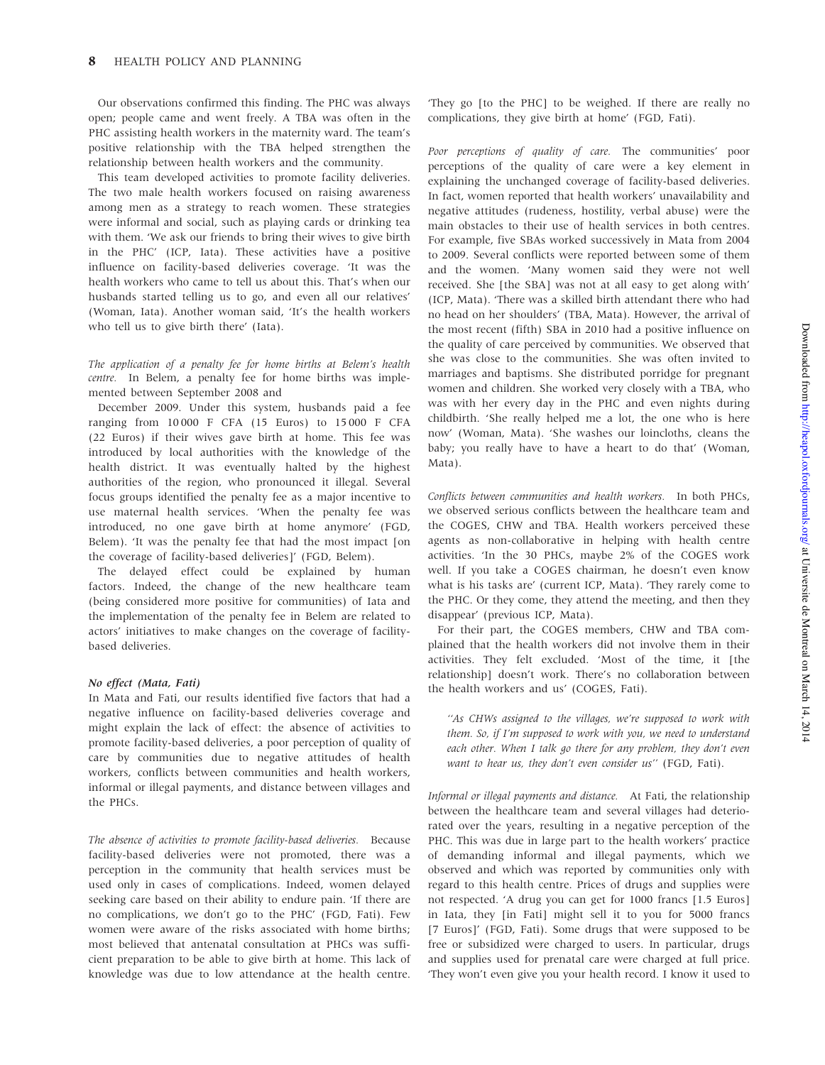Our observations confirmed this finding. The PHC was always open; people came and went freely. A TBA was often in the PHC assisting health workers in the maternity ward. The team's positive relationship with the TBA helped strengthen the relationship between health workers and the community.

This team developed activities to promote facility deliveries. The two male health workers focused on raising awareness among men as a strategy to reach women. These strategies were informal and social, such as playing cards or drinking tea with them. 'We ask our friends to bring their wives to give birth in the PHC' (ICP, Iata). These activities have a positive influence on facility-based deliveries coverage. 'It was the health workers who came to tell us about this. That's when our husbands started telling us to go, and even all our relatives' (Woman, Iata). Another woman said, 'It's the health workers who tell us to give birth there' (Iata).

The application of a penalty fee for home births at Belem's health centre. In Belem, a penalty fee for home births was implemented between September 2008 and

December 2009. Under this system, husbands paid a fee ranging from 10 000 F CFA (15 Euros) to 15 000 F CFA (22 Euros) if their wives gave birth at home. This fee was introduced by local authorities with the knowledge of the health district. It was eventually halted by the highest authorities of the region, who pronounced it illegal. Several focus groups identified the penalty fee as a major incentive to use maternal health services. 'When the penalty fee was introduced, no one gave birth at home anymore' (FGD, Belem). 'It was the penalty fee that had the most impact [on the coverage of facility-based deliveries]' (FGD, Belem).

The delayed effect could be explained by human factors. Indeed, the change of the new healthcare team (being considered more positive for communities) of Iata and the implementation of the penalty fee in Belem are related to actors' initiatives to make changes on the coverage of facilitybased deliveries.

#### No effect (Mata, Fati)

In Mata and Fati, our results identified five factors that had a negative influence on facility-based deliveries coverage and might explain the lack of effect: the absence of activities to promote facility-based deliveries, a poor perception of quality of care by communities due to negative attitudes of health workers, conflicts between communities and health workers, informal or illegal payments, and distance between villages and the PHCs.

The absence of activities to promote facility-based deliveries. Because facility-based deliveries were not promoted, there was a perception in the community that health services must be used only in cases of complications. Indeed, women delayed seeking care based on their ability to endure pain. 'If there are no complications, we don't go to the PHC' (FGD, Fati). Few women were aware of the risks associated with home births; most believed that antenatal consultation at PHCs was sufficient preparation to be able to give birth at home. This lack of knowledge was due to low attendance at the health centre.

'They go [to the PHC] to be weighed. If there are really no complications, they give birth at home' (FGD, Fati).

Poor perceptions of quality of care. The communities' poor perceptions of the quality of care were a key element in explaining the unchanged coverage of facility-based deliveries. In fact, women reported that health workers' unavailability and negative attitudes (rudeness, hostility, verbal abuse) were the main obstacles to their use of health services in both centres. For example, five SBAs worked successively in Mata from 2004 to 2009. Several conflicts were reported between some of them and the women. 'Many women said they were not well received. She [the SBA] was not at all easy to get along with' (ICP, Mata). 'There was a skilled birth attendant there who had no head on her shoulders' (TBA, Mata). However, the arrival of the most recent (fifth) SBA in 2010 had a positive influence on the quality of care perceived by communities. We observed that she was close to the communities. She was often invited to marriages and baptisms. She distributed porridge for pregnant women and children. She worked very closely with a TBA, who was with her every day in the PHC and even nights during childbirth. 'She really helped me a lot, the one who is here now' (Woman, Mata). 'She washes our loincloths, cleans the baby; you really have to have a heart to do that' (Woman, Mata).

Conflicts between communities and health workers. In both PHCs, we observed serious conflicts between the healthcare team and the COGES, CHW and TBA. Health workers perceived these agents as non-collaborative in helping with health centre activities. 'In the 30 PHCs, maybe 2% of the COGES work well. If you take a COGES chairman, he doesn't even know what is his tasks are' (current ICP, Mata). 'They rarely come to the PHC. Or they come, they attend the meeting, and then they disappear' (previous ICP, Mata).

For their part, the COGES members, CHW and TBA complained that the health workers did not involve them in their activities. They felt excluded. 'Most of the time, it [the relationship] doesn't work. There's no collaboration between the health workers and us' (COGES, Fati).

"As CHWs assigned to the villages, we're supposed to work with them. So, if I'm supposed to work with you, we need to understand each other. When I talk go there for any problem, they don't even want to hear us, they don't even consider us" (FGD, Fati).

Informal or illegal payments and distance. At Fati, the relationship between the healthcare team and several villages had deteriorated over the years, resulting in a negative perception of the PHC. This was due in large part to the health workers' practice of demanding informal and illegal payments, which we observed and which was reported by communities only with regard to this health centre. Prices of drugs and supplies were not respected. 'A drug you can get for 1000 francs [1.5 Euros] in Iata, they [in Fati] might sell it to you for 5000 francs [7 Euros]' (FGD, Fati). Some drugs that were supposed to be free or subsidized were charged to users. In particular, drugs and supplies used for prenatal care were charged at full price. 'They won't even give you your health record. I know it used to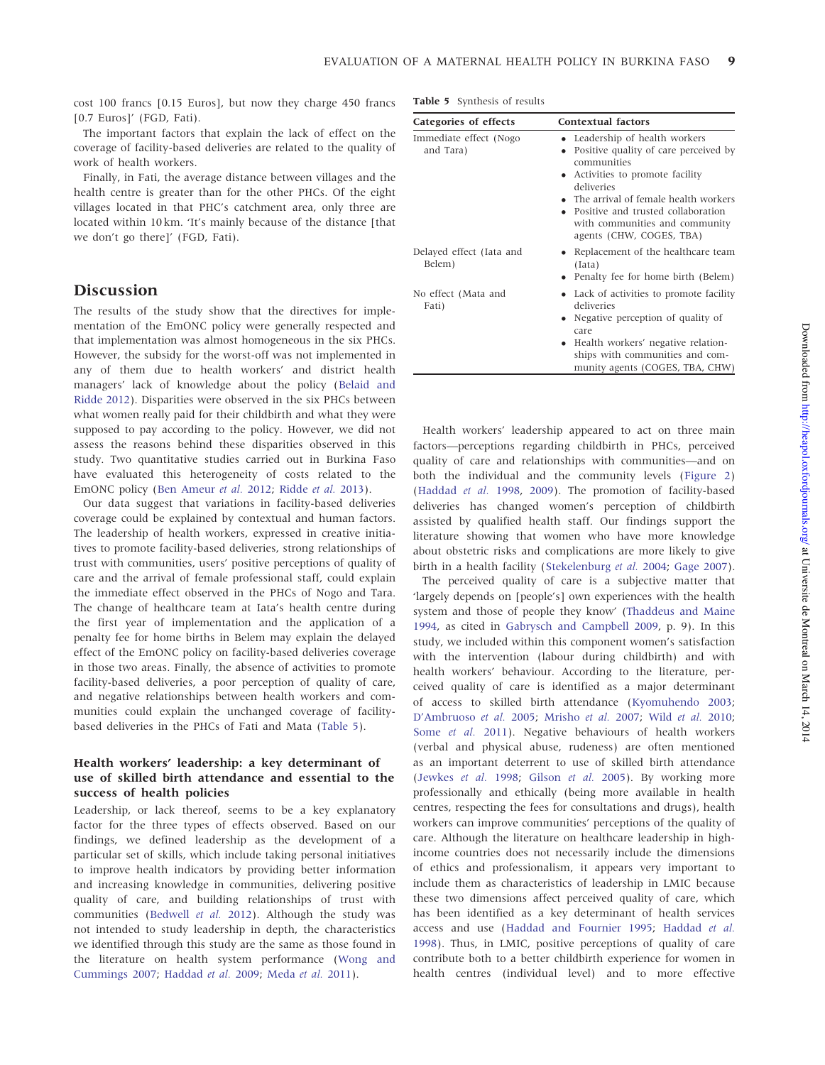cost 100 francs [0.15 Euros], but now they charge 450 francs [0.7 Euros]' (FGD, Fati).

The important factors that explain the lack of effect on the coverage of facility-based deliveries are related to the quality of work of health workers.

Finally, in Fati, the average distance between villages and the health centre is greater than for the other PHCs. Of the eight villages located in that PHC's catchment area, only three are located within 10 km. 'It's mainly because of the distance [that we don't go there]' (FGD, Fati).

## Discussion

The results of the study show that the directives for implementation of the EmONC policy were generally respected and that implementation was almost homogeneous in the six PHCs. However, the subsidy for the worst-off was not implemented in any of them due to health workers' and district health managers' lack of knowledge about the policy [\(Belaid and](#page-11-0) [Ridde 2012](#page-11-0)). Disparities were observed in the six PHCs between what women really paid for their childbirth and what they were supposed to pay according to the policy. However, we did not assess the reasons behind these disparities observed in this study. Two quantitative studies carried out in Burkina Faso have evaluated this heterogeneity of costs related to the EmONC policy ([Ben Ameur](#page-11-0) et al. 2012; [Ridde](#page-12-0) et al. 2013).

Our data suggest that variations in facility-based deliveries coverage could be explained by contextual and human factors. The leadership of health workers, expressed in creative initiatives to promote facility-based deliveries, strong relationships of trust with communities, users' positive perceptions of quality of care and the arrival of female professional staff, could explain the immediate effect observed in the PHCs of Nogo and Tara. The change of healthcare team at Iata's health centre during the first year of implementation and the application of a penalty fee for home births in Belem may explain the delayed effect of the EmONC policy on facility-based deliveries coverage in those two areas. Finally, the absence of activities to promote facility-based deliveries, a poor perception of quality of care, and negative relationships between health workers and communities could explain the unchanged coverage of facilitybased deliveries in the PHCs of Fati and Mata (Table 5).

## Health workers' leadership: a key determinant of use of skilled birth attendance and essential to the success of health policies

Leadership, or lack thereof, seems to be a key explanatory factor for the three types of effects observed. Based on our findings, we defined leadership as the development of a particular set of skills, which include taking personal initiatives to improve health indicators by providing better information and increasing knowledge in communities, delivering positive quality of care, and building relationships of trust with communities [\(Bedwell](#page-11-0) et al. 2012). Although the study was not intended to study leadership in depth, the characteristics we identified through this study are the same as those found in the literature on health system performance [\(Wong and](#page-12-0) [Cummings 2007](#page-12-0); [Haddad](#page-11-0) et al. 2009; [Meda](#page-11-0) et al. 2011).

Table 5 Synthesis of results

| Categories of effects               | <b>Contextual factors</b>                                                                                                                                                                                                                                                                |  |  |  |
|-------------------------------------|------------------------------------------------------------------------------------------------------------------------------------------------------------------------------------------------------------------------------------------------------------------------------------------|--|--|--|
| Immediate effect (Nogo<br>and Tara) | • Leadership of health workers<br>Positive quality of care perceived by<br>communities<br>• Activities to promote facility<br>deliveries<br>• The arrival of female health workers<br>• Positive and trusted collaboration<br>with communities and community<br>agents (CHW, COGES, TBA) |  |  |  |
| Delayed effect (Iata and<br>Belem)  | Replacement of the healthcare team<br>(Iata)<br>• Penalty fee for home birth (Belem)                                                                                                                                                                                                     |  |  |  |
| No effect (Mata and<br>Fati)        | • Lack of activities to promote facility<br>deliveries<br>Negative perception of quality of<br>care<br>• Health workers' negative relation-<br>ships with communities and com-<br>munity agents (COGES, TBA, CHW)                                                                        |  |  |  |

Health workers' leadership appeared to act on three main factors—perceptions regarding childbirth in PHCs, perceived quality of care and relationships with communities—and on both the individual and the community levels [\(Figure 2](#page-9-0)) [\(Haddad](#page-11-0) et al. 1998, [2009](#page-11-0)). The promotion of facility-based deliveries has changed women's perception of childbirth assisted by qualified health staff. Our findings support the literature showing that women who have more knowledge about obstetric risks and complications are more likely to give birth in a health facility [\(Stekelenburg](#page-12-0) et al. 2004; [Gage 2007](#page-11-0)).

The perceived quality of care is a subjective matter that 'largely depends on [people's] own experiences with the health system and those of people they know' [\(Thaddeus and Maine](#page-12-0) [1994,](#page-12-0) as cited in [Gabrysch and Campbell 2009,](#page-11-0) p. 9). In this study, we included within this component women's satisfaction with the intervention (labour during childbirth) and with health workers' behaviour. According to the literature, perceived quality of care is identified as a major determinant of access to skilled birth attendance [\(Kyomuhendo 2003](#page-11-0); [D'Ambruoso](#page-11-0) et al. 2005; [Mrisho](#page-12-0) et al. 2007; Wild [et al.](#page-12-0) 2010; [Some](#page-12-0) et al. 2011). Negative behaviours of health workers (verbal and physical abuse, rudeness) are often mentioned as an important deterrent to use of skilled birth attendance [\(Jewkes](#page-11-0) et al. 1998; [Gilson](#page-11-0) et al. 2005). By working more professionally and ethically (being more available in health centres, respecting the fees for consultations and drugs), health workers can improve communities' perceptions of the quality of care. Although the literature on healthcare leadership in highincome countries does not necessarily include the dimensions of ethics and professionalism, it appears very important to include them as characteristics of leadership in LMIC because these two dimensions affect perceived quality of care, which has been identified as a key determinant of health services access and use ([Haddad and Fournier 1995](#page-11-0); [Haddad](#page-11-0) et al. [1998\)](#page-11-0). Thus, in LMIC, positive perceptions of quality of care contribute both to a better childbirth experience for women in health centres (individual level) and to more effective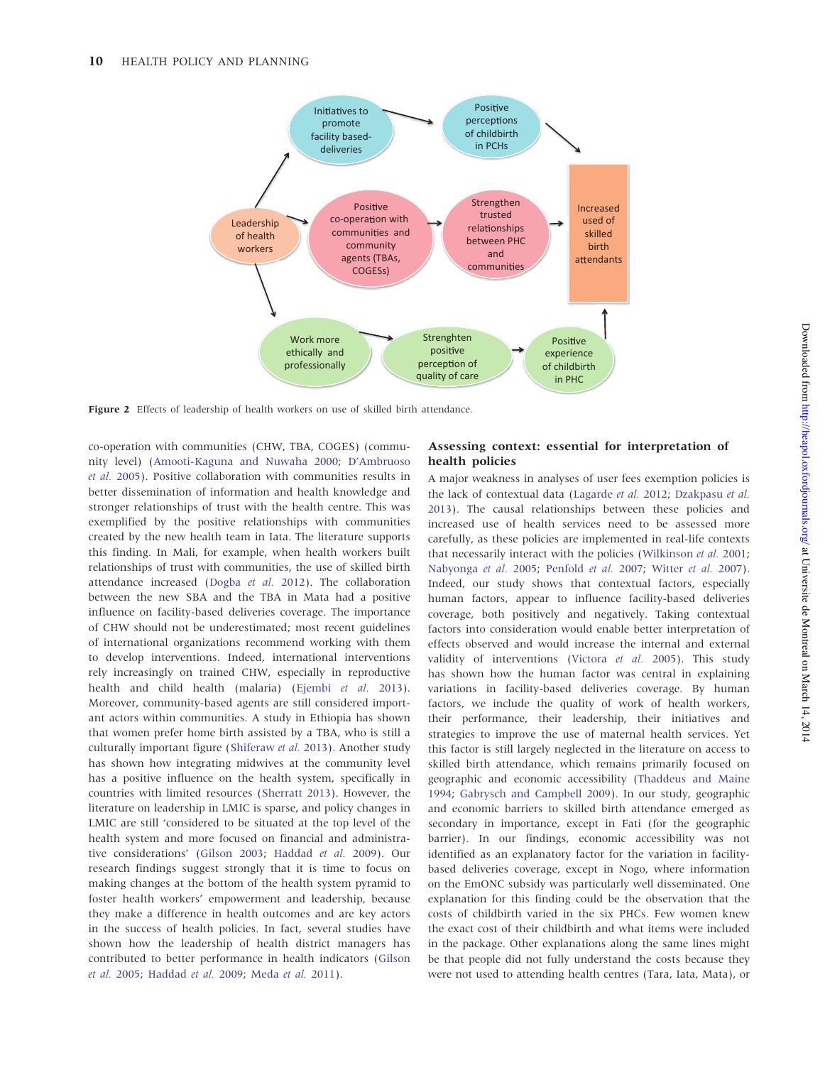<span id="page-9-0"></span>

Figure 2 Effects of leadership of health workers on use of skilled birth attendance.

co-operation with communities (CHW, TBA, COGES) (community level) [\(Amooti-Kaguna and Nuwaha 2000](#page-11-0); [D'Ambruoso](#page-11-0) et al. [2005](#page-11-0)). Positive collaboration with communities results in better dissemination of information and health knowledge and stronger relationships of trust with the health centre. This was exemplified by the positive relationships with communities created by the new health team in Iata. The literature supports this finding. In Mali, for example, when health workers built relationships of trust with communities, the use of skilled birth attendance increased ([Dogba](#page-11-0) et al. 2012). The collaboration between the new SBA and the TBA in Mata had a positive influence on facility-based deliveries coverage. The importance of CHW should not be underestimated; most recent guidelines of international organizations recommend working with them to develop interventions. Indeed, international interventions rely increasingly on trained CHW, especially in reproductive health and child health (malaria) [\(Ejembi](#page-11-0) et al. 2013). Moreover, community-based agents are still considered important actors within communities. A study in Ethiopia has shown that women prefer home birth assisted by a TBA, who is still a culturally important figure ([Shiferaw](#page-12-0) et al. 2013). Another study has shown how integrating midwives at the community level has a positive influence on the health system, specifically in countries with limited resources ([Sherratt 2013\)](#page-12-0). However, the literature on leadership in LMIC is sparse, and policy changes in LMIC are still 'considered to be situated at the top level of the health system and more focused on financial and administrative considerations' ([Gilson 2003;](#page-11-0) [Haddad](#page-11-0) et al. 2009). Our research findings suggest strongly that it is time to focus on making changes at the bottom of the health system pyramid to foster health workers' empowerment and leadership, because they make a difference in health outcomes and are key actors in the success of health policies. In fact, several studies have shown how the leadership of health district managers has contributed to better performance in health indicators [\(Gilson](#page-11-0) et al. [2005](#page-11-0); [Haddad](#page-11-0) et al. 2009; [Meda](#page-11-0) et al. 2011).

## Assessing context: essential for interpretation of health policies

A major weakness in analyses of user fees exemption policies is the lack of contextual data ([Lagarde](#page-11-0) et al. 2012; [Dzakpasu](#page-11-0) et al. [2013](#page-11-0)). The causal relationships between these policies and increased use of health services need to be assessed more carefully, as these policies are implemented in real-life contexts that necessarily interact with the policies [\(Wilkinson](#page-12-0) et al. 2001; [Nabyonga](#page-12-0) et al. 2005; [Penfold](#page-12-0) et al. 2007; [Witter](#page-12-0) et al. 2007). Indeed, our study shows that contextual factors, especially human factors, appear to influence facility-based deliveries coverage, both positively and negatively. Taking contextual factors into consideration would enable better interpretation of effects observed and would increase the internal and external validity of interventions ([Victora](#page-12-0) et al. 2005). This study has shown how the human factor was central in explaining variations in facility-based deliveries coverage. By human factors, we include the quality of work of health workers, their performance, their leadership, their initiatives and strategies to improve the use of maternal health services. Yet this factor is still largely neglected in the literature on access to skilled birth attendance, which remains primarily focused on geographic and economic accessibility ([Thaddeus and Maine](#page-12-0) [1994](#page-12-0); [Gabrysch and Campbell 2009](#page-11-0)). In our study, geographic and economic barriers to skilled birth attendance emerged as secondary in importance, except in Fati (for the geographic barrier). In our findings, economic accessibility was not identified as an explanatory factor for the variation in facilitybased deliveries coverage, except in Nogo, where information on the EmONC subsidy was particularly well disseminated. One explanation for this finding could be the observation that the costs of childbirth varied in the six PHCs. Few women knew the exact cost of their childbirth and what items were included in the package. Other explanations along the same lines might be that people did not fully understand the costs because they were not used to attending health centres (Tara, Iata, Mata), or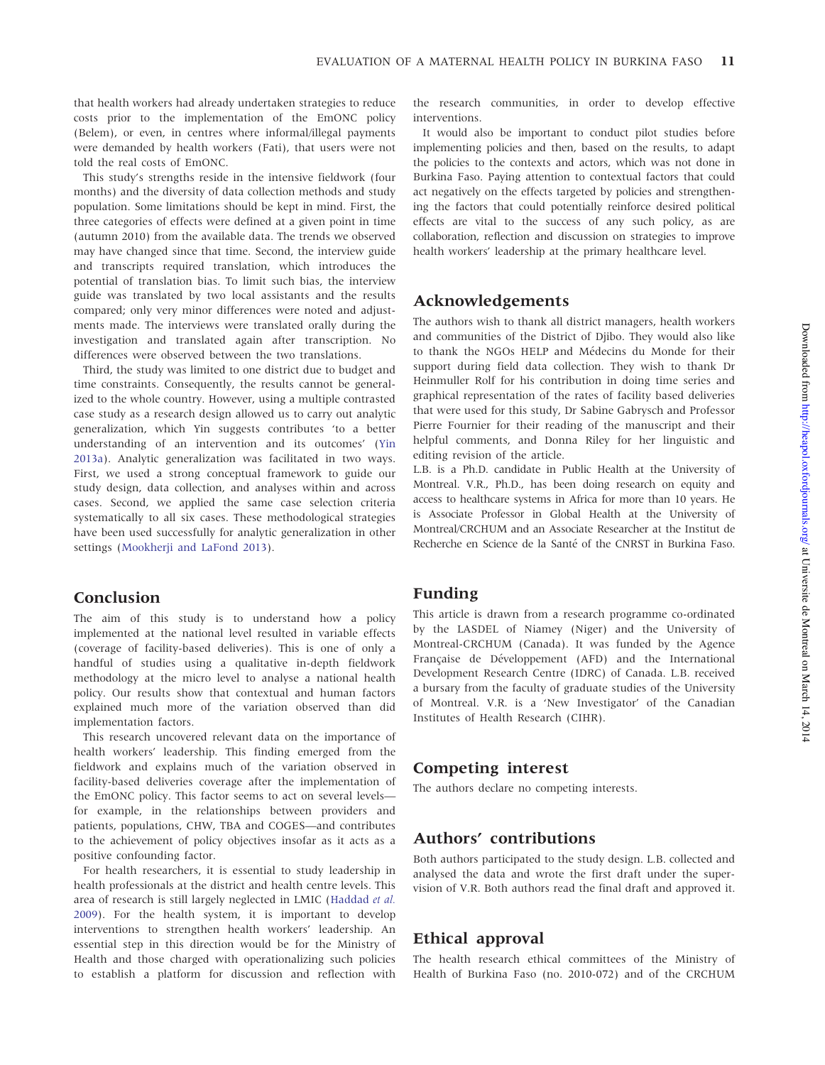that health workers had already undertaken strategies to reduce costs prior to the implementation of the EmONC policy (Belem), or even, in centres where informal/illegal payments were demanded by health workers (Fati), that users were not told the real costs of EmONC.

This study's strengths reside in the intensive fieldwork (four months) and the diversity of data collection methods and study population. Some limitations should be kept in mind. First, the three categories of effects were defined at a given point in time (autumn 2010) from the available data. The trends we observed may have changed since that time. Second, the interview guide and transcripts required translation, which introduces the potential of translation bias. To limit such bias, the interview guide was translated by two local assistants and the results compared; only very minor differences were noted and adjustments made. The interviews were translated orally during the investigation and translated again after transcription. No differences were observed between the two translations.

Third, the study was limited to one district due to budget and time constraints. Consequently, the results cannot be generalized to the whole country. However, using a multiple contrasted case study as a research design allowed us to carry out analytic generalization, which Yin suggests contributes 'to a better understanding of an intervention and its outcomes' ([Yin](#page-12-0) [2013a\)](#page-12-0). Analytic generalization was facilitated in two ways. First, we used a strong conceptual framework to guide our study design, data collection, and analyses within and across cases. Second, we applied the same case selection criteria systematically to all six cases. These methodological strategies have been used successfully for analytic generalization in other settings (Mookherii and LaFond 2013).

# Conclusion

The aim of this study is to understand how a policy implemented at the national level resulted in variable effects (coverage of facility-based deliveries). This is one of only a handful of studies using a qualitative in-depth fieldwork methodology at the micro level to analyse a national health policy. Our results show that contextual and human factors explained much more of the variation observed than did implementation factors.

This research uncovered relevant data on the importance of health workers' leadership. This finding emerged from the fieldwork and explains much of the variation observed in facility-based deliveries coverage after the implementation of the EmONC policy. This factor seems to act on several levels for example, in the relationships between providers and patients, populations, CHW, TBA and COGES—and contributes to the achievement of policy objectives insofar as it acts as a positive confounding factor.

For health researchers, it is essential to study leadership in health professionals at the district and health centre levels. This area of research is still largely neglected in LMIC [\(Haddad](#page-11-0) et al. [2009](#page-11-0)). For the health system, it is important to develop interventions to strengthen health workers' leadership. An essential step in this direction would be for the Ministry of Health and those charged with operationalizing such policies to establish a platform for discussion and reflection with

the research communities, in order to develop effective interventions.

It would also be important to conduct pilot studies before implementing policies and then, based on the results, to adapt the policies to the contexts and actors, which was not done in Burkina Faso. Paying attention to contextual factors that could act negatively on the effects targeted by policies and strengthening the factors that could potentially reinforce desired political effects are vital to the success of any such policy, as are collaboration, reflection and discussion on strategies to improve health workers' leadership at the primary healthcare level.

# Acknowledgements

The authors wish to thank all district managers, health workers and communities of the District of Djibo. They would also like to thank the NGOs HELP and Médecins du Monde for their support during field data collection. They wish to thank Dr Heinmuller Rolf for his contribution in doing time series and graphical representation of the rates of facility based deliveries that were used for this study, Dr Sabine Gabrysch and Professor Pierre Fournier for their reading of the manuscript and their helpful comments, and Donna Riley for her linguistic and editing revision of the article.

L.B. is a Ph.D. candidate in Public Health at the University of Montreal. V.R., Ph.D., has been doing research on equity and access to healthcare systems in Africa for more than 10 years. He is Associate Professor in Global Health at the University of Montreal/CRCHUM and an Associate Researcher at the Institut de Recherche en Science de la Santé of the CNRST in Burkina Faso.

# Funding

This article is drawn from a research programme co-ordinated by the LASDEL of Niamey (Niger) and the University of Montreal-CRCHUM (Canada). It was funded by the Agence Française de Développement (AFD) and the International Development Research Centre (IDRC) of Canada. L.B. received a bursary from the faculty of graduate studies of the University of Montreal. V.R. is a 'New Investigator' of the Canadian Institutes of Health Research (CIHR).

# Competing interest

The authors declare no competing interests.

# Authors' contributions

Both authors participated to the study design. L.B. collected and analysed the data and wrote the first draft under the supervision of V.R. Both authors read the final draft and approved it.

# Ethical approval

The health research ethical committees of the Ministry of Health of Burkina Faso (no. 2010-072) and of the CRCHUM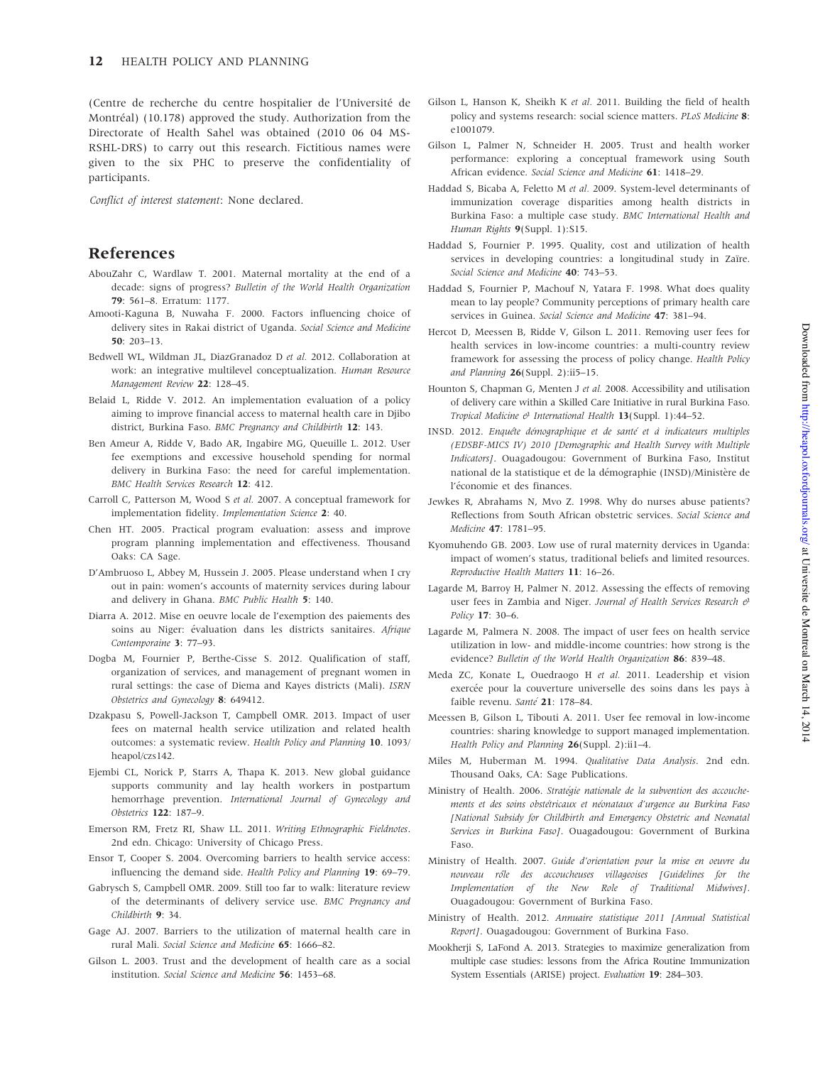<span id="page-11-0"></span>(Centre de recherche du centre hospitalier de l'Universite´ de Montréal) (10.178) approved the study. Authorization from the Directorate of Health Sahel was obtained (2010 06 04 MS-RSHL-DRS) to carry out this research. Fictitious names were given to the six PHC to preserve the confidentiality of participants.

Conflict of interest statement: None declared.

## References

- AbouZahr C, Wardlaw T. 2001. Maternal mortality at the end of a decade: signs of progress? Bulletin of the World Health Organization 79: 561–8. Erratum: 1177.
- Amooti-Kaguna B, Nuwaha F. 2000. Factors influencing choice of delivery sites in Rakai district of Uganda. Social Science and Medicine 50: 203–13.
- Bedwell WL, Wildman JL, DiazGranadoz D et al. 2012. Collaboration at work: an integrative multilevel conceptualization. Human Resource Management Review 22: 128–45.
- Belaid L, Ridde V. 2012. An implementation evaluation of a policy aiming to improve financial access to maternal health care in Djibo district, Burkina Faso. BMC Pregnancy and Childbirth 12: 143.
- Ben Ameur A, Ridde V, Bado AR, Ingabire MG, Queuille L. 2012. User fee exemptions and excessive household spending for normal delivery in Burkina Faso: the need for careful implementation. BMC Health Services Research 12: 412.
- Carroll C, Patterson M, Wood S et al. 2007. A conceptual framework for implementation fidelity. Implementation Science 2: 40.
- Chen HT. 2005. Practical program evaluation: assess and improve program planning implementation and effectiveness. Thousand Oaks: CA Sage.
- D'Ambruoso L, Abbey M, Hussein J. 2005. Please understand when I cry out in pain: women's accounts of maternity services during labour and delivery in Ghana. BMC Public Health 5: 140.
- Diarra A. 2012. Mise en oeuvre locale de l'exemption des paiements des soins au Niger: évaluation dans les districts sanitaires. Afrique Contemporaine 3: 77–93.
- Dogba M, Fournier P, Berthe-Cisse S. 2012. Qualification of staff, organization of services, and management of pregnant women in rural settings: the case of Diema and Kayes districts (Mali). ISRN Obstetrics and Gynecology 8: 649412.
- Dzakpasu S, Powell-Jackson T, Campbell OMR. 2013. Impact of user fees on maternal health service utilization and related health outcomes: a systematic review. Health Policy and Planning 10. 1093/ heapol/czs142.
- Ejembi CL, Norick P, Starrs A, Thapa K. 2013. New global guidance supports community and lay health workers in postpartum hemorrhage prevention. International Journal of Gynecology and Obstetrics 122: 187–9.
- Emerson RM, Fretz RI, Shaw LL. 2011. Writing Ethnographic Fieldnotes. 2nd edn. Chicago: University of Chicago Press.
- Ensor T, Cooper S. 2004. Overcoming barriers to health service access: influencing the demand side. Health Policy and Planning 19: 69–79.
- Gabrysch S, Campbell OMR. 2009. Still too far to walk: literature review of the determinants of delivery service use. BMC Pregnancy and Childbirth 9: 34.
- Gage AJ. 2007. Barriers to the utilization of maternal health care in rural Mali. Social Science and Medicine 65: 1666–82.
- Gilson L. 2003. Trust and the development of health care as a social institution. Social Science and Medicine 56: 1453–68.
- Gilson L, Hanson K, Sheikh K et al. 2011. Building the field of health policy and systems research: social science matters. PLoS Medicine 8: e1001079.
- Gilson L, Palmer N, Schneider H. 2005. Trust and health worker performance: exploring a conceptual framework using South African evidence. Social Science and Medicine 61: 1418–29.
- Haddad S, Bicaba A, Feletto M et al. 2009. System-level determinants of immunization coverage disparities among health districts in Burkina Faso: a multiple case study. BMC International Health and Human Rights 9(Suppl. 1):S15.
- Haddad S, Fournier P. 1995. Quality, cost and utilization of health services in developing countries: a longitudinal study in Zaïre. Social Science and Medicine 40: 743-53.
- Haddad S, Fournier P, Machouf N, Yatara F. 1998. What does quality mean to lay people? Community perceptions of primary health care services in Guinea. Social Science and Medicine 47: 381-94.
- Hercot D, Meessen B, Ridde V, Gilson L. 2011. Removing user fees for health services in low-income countries: a multi-country review framework for assessing the process of policy change. Health Policy and Planning 26(Suppl. 2):ii5-15.
- Hounton S, Chapman G, Menten J et al. 2008. Accessibility and utilisation of delivery care within a Skilled Care Initiative in rural Burkina Faso. Tropical Medicine  $\mathcal O$  International Health 13(Suppl. 1):44-52.
- INSD. 2012. Enquête démographique et de santé et à indicateurs multiples (EDSBF-MICS IV) 2010 [Demographic and Health Survey with Multiple Indicators]. Ouagadougou: Government of Burkina Faso, Institut national de la statistique et de la démographie (INSD)/Ministère de l'économie et des finances.
- Jewkes R, Abrahams N, Mvo Z. 1998. Why do nurses abuse patients? Reflections from South African obstetric services. Social Science and Medicine 47: 1781–95.
- Kyomuhendo GB. 2003. Low use of rural maternity dervices in Uganda: impact of women's status, traditional beliefs and limited resources. Reproductive Health Matters 11: 16–26.
- Lagarde M, Barroy H, Palmer N. 2012. Assessing the effects of removing user fees in Zambia and Niger. Journal of Health Services Research  $\theta$ Policy 17: 30–6.
- Lagarde M, Palmera N. 2008. The impact of user fees on health service utilization in low- and middle-income countries: how strong is the evidence? Bulletin of the World Health Organization 86: 839-48.
- Meda ZC, Konate L, Ouedraogo H et al. 2011. Leadership et vision exercée pour la couverture universelle des soins dans les pays à faible revenu. Santé 21: 178-84.
- Meessen B, Gilson L, Tibouti A. 2011. User fee removal in low-income countries: sharing knowledge to support managed implementation. Health Policy and Planning 26(Suppl. 2):ii1-4.
- Miles M, Huberman M. 1994. Qualitative Data Analysis. 2nd edn. Thousand Oaks, CA: Sage Publications.
- Ministry of Health. 2006. Stratégie nationale de la subvention des accouchements et des soins obstétricaux et néonataux d'urgence au Burkina Faso [National Subsidy for Childbirth and Emergency Obstetric and Neonatal Services in Burkina Faso]. Ouagadougou: Government of Burkina Faso.
- Ministry of Health. 2007. Guide d'orientation pour la mise en oeuvre du nouveau rôle des accoucheuses villageoises [Guidelines for the Implementation of the New Role of Traditional Midwives]. Ouagadougou: Government of Burkina Faso.
- Ministry of Health. 2012. Annuaire statistique 2011 [Annual Statistical Report]. Ouagadougou: Government of Burkina Faso.
- Mookherji S, LaFond A. 2013. Strategies to maximize generalization from multiple case studies: lessons from the Africa Routine Immunization System Essentials (ARISE) project. Evaluation 19: 284–303.